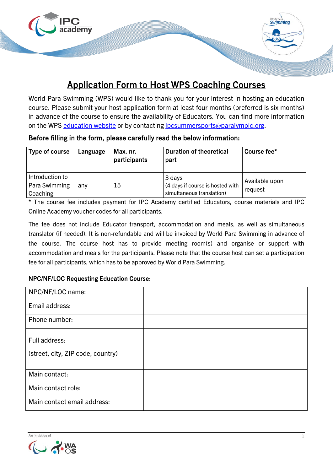

# Application Form to Host WPS Coaching Courses

World Para Swimming (WPS) would like to thank you for your interest in hosting an education course. Please submit your host application form at least four months (preferred is six months) in advance of the course to ensure the availability of Educators. You can find more information on the WPS [education website](https://www.paralympic.org/swimming/education/coaching) or by contacting ipcsummersports@paralympic.org.

| Before filling in the form, please carefully read the below information: |  |  |
|--------------------------------------------------------------------------|--|--|
|--------------------------------------------------------------------------|--|--|

| Type of course                               | Language | Max. nr.<br>participants | <b>Duration of theoretical</b><br>part                                  | Course fee*               |
|----------------------------------------------|----------|--------------------------|-------------------------------------------------------------------------|---------------------------|
| Introduction to<br>Para Swimming<br>Coaching | any      | 15                       | 3 days<br>(4 days if course is hosted with<br>simultaneous translation) | Available upon<br>reguest |

\* The course fee includes payment for IPC Academy certified Educators, course materials and IPC Online Academy voucher codes for all participants.

The fee does not include Educator transport, accommodation and meals, as well as simultaneous translator (if needed). It is non-refundable and will be invoiced by World Para Swimming in advance of the course. The course host has to provide meeting room(s) and organise or support with accommodation and meals for the participants. Please note that the course host can set a participation fee for all participants, which has to be approved by World Para Swimming.

### NPC/NF/LOC Requesting Education Course:

| NPC/NF/LOC name:                  |  |
|-----------------------------------|--|
| Email address:                    |  |
| Phone number:                     |  |
|                                   |  |
| Full address:                     |  |
| (street, city, ZIP code, country) |  |
|                                   |  |
| Main contact:                     |  |
| Main contact role:                |  |
| Main contact email address:       |  |